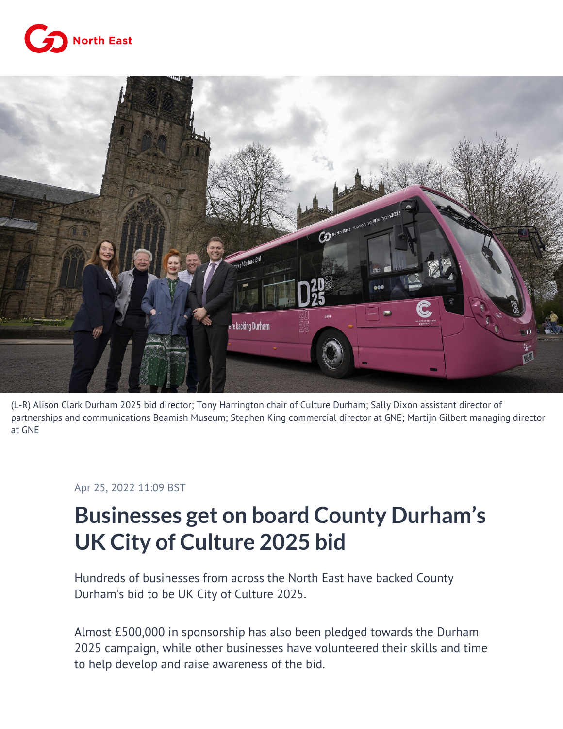



(L-R) Alison Clark Durham 2025 bid director; Tony Harrington chair of Culture Durham; Sally Dixon assistant director of partnerships and communications Beamish Museum; Stephen King commercial director at GNE; Martijn Gilbert managing director at GNE

## Apr 25, 2022 11:09 BST

## **Businesses get on board County Durham's UK City of Culture 2025 bid**

Hundreds of businesses from across the North East have backed County Durham's bid to be UK City of Culture 2025.

Almost £500,000 in sponsorship has also been pledged towards the Durham 2025 campaign, while other businesses have volunteered their skills and time to help develop and raise awareness of the bid.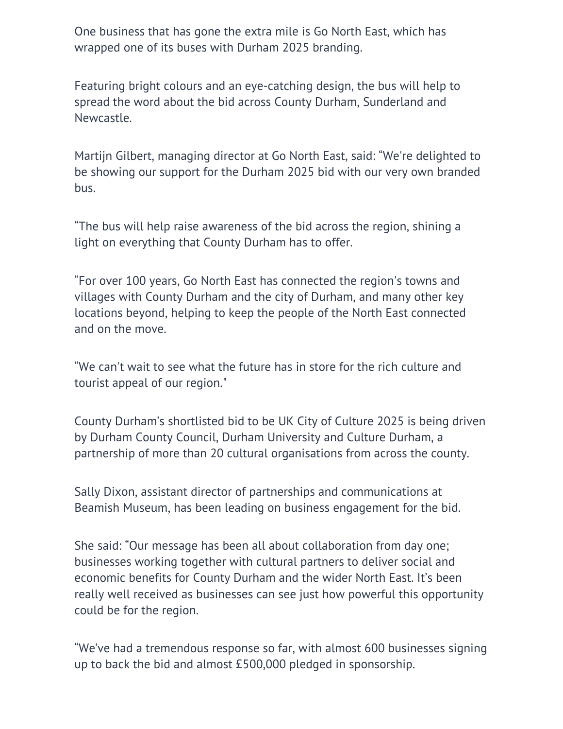One business that has gone the extra mile is Go North East, which has wrapped one of its buses with Durham 2025 branding.

Featuring bright colours and an eye-catching design, the bus will help to spread the word about the bid across County Durham, Sunderland and Newcastle.

Martijn Gilbert, managing director at Go North East, said: "We're delighted to be showing our support for the Durham 2025 bid with our very own branded bus.

"The bus will help raise awareness of the bid across the region, shining a light on everything that County Durham has to offer.

"For over 100 years, Go North East has connected the region's towns and villages with County Durham and the city of Durham, and many other key locations beyond, helping to keep the people of the North East connected and on the move.

"We can't wait to see what the future has in store for the rich culture and tourist appeal of our region."

County Durham's shortlisted bid to be UK City of Culture 2025 is being driven by Durham County Council, Durham University and Culture Durham, a partnership of more than 20 cultural organisations from across the county.

Sally Dixon, assistant director of partnerships and communications at Beamish Museum, has been leading on business engagement for the bid.

She said: "Our message has been all about collaboration from day one; businesses working together with cultural partners to deliver social and economic benefits for County Durham and the wider North East. It's been really well received as businesses can see just how powerful this opportunity could be for the region.

"We've had a tremendous response so far, with almost 600 businesses signing up to back the bid and almost £500,000 pledged in sponsorship.